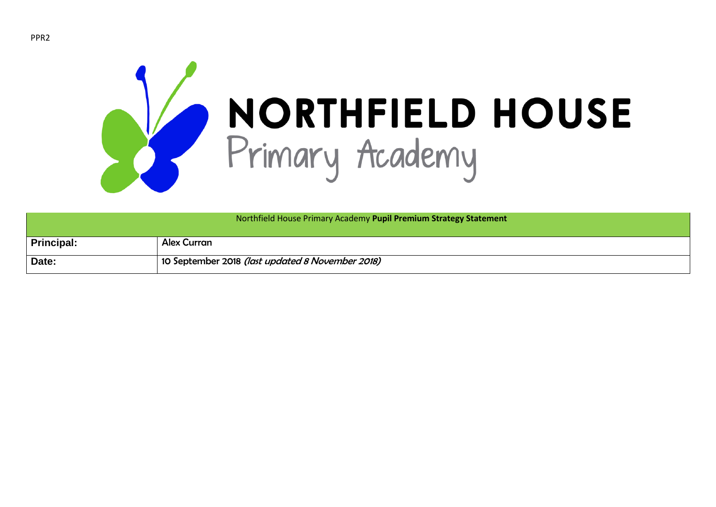

|                   | Northfield House Primary Academy Pupil Premium Strategy Statement |
|-------------------|-------------------------------------------------------------------|
| <b>Principal:</b> | <b>Alex Curran</b>                                                |
| Date:             | 10 September 2018 (last updated 8 November 2018)                  |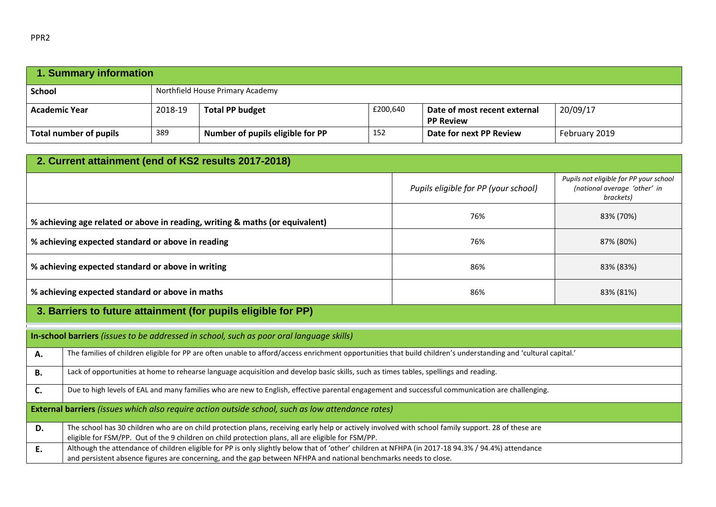| 1. Summary information |         |                                  |          |                                                  |               |  |
|------------------------|---------|----------------------------------|----------|--------------------------------------------------|---------------|--|
| <b>School</b>          |         | Northfield House Primary Academy |          |                                                  |               |  |
| <b>Academic Year</b>   | 2018-19 | <b>Total PP budget</b>           | £200,640 | Date of most recent external<br><b>PP Review</b> | 20/09/17      |  |
| Total number of pupils | 389     | Number of pupils eligible for PP | 152      | Date for next PP Review                          | February 2019 |  |

|                                                                                                   | 2. Current attainment (end of KS2 results 2017-2018)                                                                                                                                                                                                                   |                                      |                                                                                     |  |  |  |  |
|---------------------------------------------------------------------------------------------------|------------------------------------------------------------------------------------------------------------------------------------------------------------------------------------------------------------------------------------------------------------------------|--------------------------------------|-------------------------------------------------------------------------------------|--|--|--|--|
|                                                                                                   |                                                                                                                                                                                                                                                                        | Pupils eligible for PP (your school) | Pupils not eligible for PP your school<br>(national average 'other' in<br>brackets) |  |  |  |  |
|                                                                                                   | % achieving age related or above in reading, writing & maths (or equivalent)                                                                                                                                                                                           | 76%                                  | 83% (70%)                                                                           |  |  |  |  |
|                                                                                                   | % achieving expected standard or above in reading                                                                                                                                                                                                                      | 76%                                  | 87% (80%)                                                                           |  |  |  |  |
|                                                                                                   | % achieving expected standard or above in writing                                                                                                                                                                                                                      | 86%                                  | 83% (83%)                                                                           |  |  |  |  |
|                                                                                                   | % achieving expected standard or above in maths<br>86%<br>83% (81%)                                                                                                                                                                                                    |                                      |                                                                                     |  |  |  |  |
|                                                                                                   | 3. Barriers to future attainment (for pupils eligible for PP)                                                                                                                                                                                                          |                                      |                                                                                     |  |  |  |  |
|                                                                                                   | In-school barriers (issues to be addressed in school, such as poor oral language skills)                                                                                                                                                                               |                                      |                                                                                     |  |  |  |  |
| А.                                                                                                | The families of children eligible for PP are often unable to afford/access enrichment opportunities that build children's understanding and 'cultural capital.'                                                                                                        |                                      |                                                                                     |  |  |  |  |
| <b>B.</b>                                                                                         | Lack of opportunities at home to rehearse language acquisition and develop basic skills, such as times tables, spellings and reading.                                                                                                                                  |                                      |                                                                                     |  |  |  |  |
| C.                                                                                                | Due to high levels of EAL and many families who are new to English, effective parental engagement and successful communication are challenging.                                                                                                                        |                                      |                                                                                     |  |  |  |  |
| External barriers (issues which also require action outside school, such as low attendance rates) |                                                                                                                                                                                                                                                                        |                                      |                                                                                     |  |  |  |  |
| D.                                                                                                | The school has 30 children who are on child protection plans, receiving early help or actively involved with school family support. 28 of these are<br>eligible for FSM/PP. Out of the 9 children on child protection plans, all are eligible for FSM/PP.              |                                      |                                                                                     |  |  |  |  |
| E.                                                                                                | Although the attendance of children eligible for PP is only slightly below that of 'other' children at NFHPA (in 2017-18 94.3% / 94.4%) attendance<br>and persistent absence figures are concerning, and the gap between NFHPA and national benchmarks needs to close. |                                      |                                                                                     |  |  |  |  |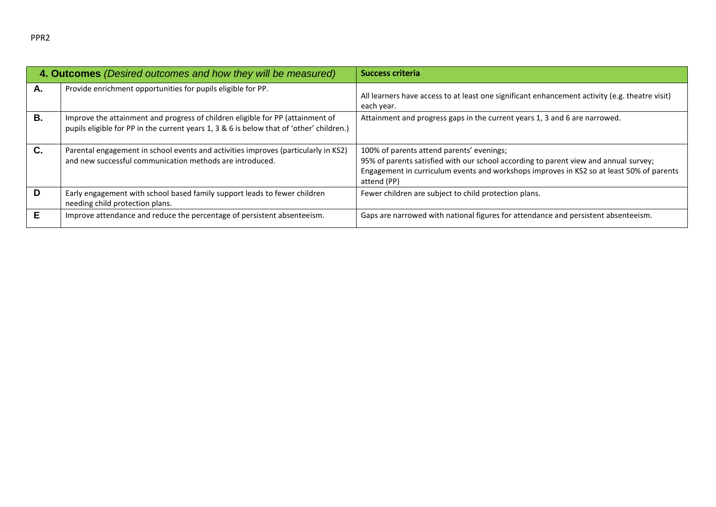| ٩ |
|---|
|---|

|    | 4. Outcomes (Desired outcomes and how they will be measured)                                                                                                               | <b>Success criteria</b>                                                                                                                                                                                                                      |
|----|----------------------------------------------------------------------------------------------------------------------------------------------------------------------------|----------------------------------------------------------------------------------------------------------------------------------------------------------------------------------------------------------------------------------------------|
| А. | Provide enrichment opportunities for pupils eligible for PP.                                                                                                               | All learners have access to at least one significant enhancement activity (e.g. theatre visit)<br>each year.                                                                                                                                 |
| Β. | Improve the attainment and progress of children eligible for PP (attainment of<br>pupils eligible for PP in the current years 1, 3 & 6 is below that of 'other' children.) | Attainment and progress gaps in the current years 1, 3 and 6 are narrowed.                                                                                                                                                                   |
| C. | Parental engagement in school events and activities improves (particularly in KS2)<br>and new successful communication methods are introduced.                             | 100% of parents attend parents' evenings;<br>95% of parents satisfied with our school according to parent view and annual survey;<br>Engagement in curriculum events and workshops improves in KS2 so at least 50% of parents<br>attend (PP) |
| D  | Early engagement with school based family support leads to fewer children<br>needing child protection plans.                                                               | Fewer children are subject to child protection plans.                                                                                                                                                                                        |
| Е  | Improve attendance and reduce the percentage of persistent absenteeism.                                                                                                    | Gaps are narrowed with national figures for attendance and persistent absenteeism.                                                                                                                                                           |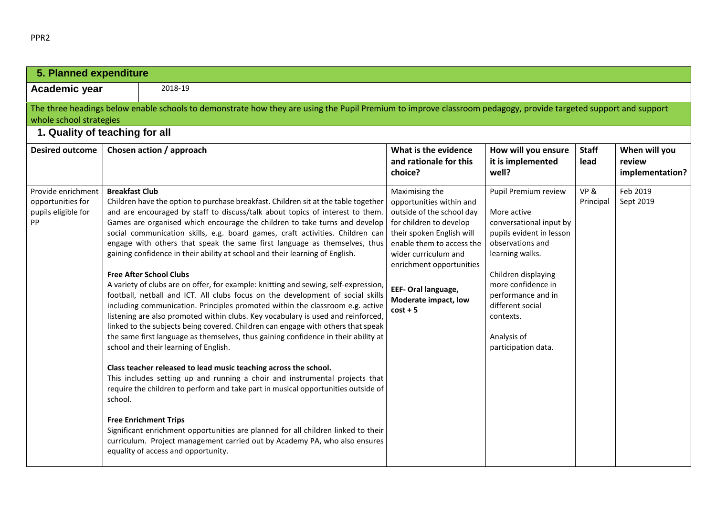| 5. Planned expenditure                                               |                                                                                                                                                                                                                                                                                                                                                                                                                                                                                                                                                                                                                                                                                                                                                                                                                                                                                                                                                                                                                                                                                                                                                                                                                                                                                                                                                                                                                                                                                                                                                                                                                          |                                                                                                                                                                                                                                                                               |                                                                                                                                                                                                                                                                             |                      |                                            |
|----------------------------------------------------------------------|--------------------------------------------------------------------------------------------------------------------------------------------------------------------------------------------------------------------------------------------------------------------------------------------------------------------------------------------------------------------------------------------------------------------------------------------------------------------------------------------------------------------------------------------------------------------------------------------------------------------------------------------------------------------------------------------------------------------------------------------------------------------------------------------------------------------------------------------------------------------------------------------------------------------------------------------------------------------------------------------------------------------------------------------------------------------------------------------------------------------------------------------------------------------------------------------------------------------------------------------------------------------------------------------------------------------------------------------------------------------------------------------------------------------------------------------------------------------------------------------------------------------------------------------------------------------------------------------------------------------------|-------------------------------------------------------------------------------------------------------------------------------------------------------------------------------------------------------------------------------------------------------------------------------|-----------------------------------------------------------------------------------------------------------------------------------------------------------------------------------------------------------------------------------------------------------------------------|----------------------|--------------------------------------------|
| Academic year                                                        | 2018-19                                                                                                                                                                                                                                                                                                                                                                                                                                                                                                                                                                                                                                                                                                                                                                                                                                                                                                                                                                                                                                                                                                                                                                                                                                                                                                                                                                                                                                                                                                                                                                                                                  |                                                                                                                                                                                                                                                                               |                                                                                                                                                                                                                                                                             |                      |                                            |
| whole school strategies                                              | The three headings below enable schools to demonstrate how they are using the Pupil Premium to improve classroom pedagogy, provide targeted support and support                                                                                                                                                                                                                                                                                                                                                                                                                                                                                                                                                                                                                                                                                                                                                                                                                                                                                                                                                                                                                                                                                                                                                                                                                                                                                                                                                                                                                                                          |                                                                                                                                                                                                                                                                               |                                                                                                                                                                                                                                                                             |                      |                                            |
| 1. Quality of teaching for all                                       |                                                                                                                                                                                                                                                                                                                                                                                                                                                                                                                                                                                                                                                                                                                                                                                                                                                                                                                                                                                                                                                                                                                                                                                                                                                                                                                                                                                                                                                                                                                                                                                                                          |                                                                                                                                                                                                                                                                               |                                                                                                                                                                                                                                                                             |                      |                                            |
| <b>Desired outcome</b>                                               | Chosen action / approach                                                                                                                                                                                                                                                                                                                                                                                                                                                                                                                                                                                                                                                                                                                                                                                                                                                                                                                                                                                                                                                                                                                                                                                                                                                                                                                                                                                                                                                                                                                                                                                                 | What is the evidence<br>and rationale for this<br>choice?                                                                                                                                                                                                                     | How will you ensure<br>it is implemented<br>well?                                                                                                                                                                                                                           | <b>Staff</b><br>lead | When will you<br>review<br>implementation? |
| Provide enrichment<br>opportunities for<br>pupils eligible for<br>PP | <b>Breakfast Club</b><br>Children have the option to purchase breakfast. Children sit at the table together<br>and are encouraged by staff to discuss/talk about topics of interest to them.<br>Games are organised which encourage the children to take turns and develop<br>social communication skills, e.g. board games, craft activities. Children can<br>engage with others that speak the same first language as themselves, thus<br>gaining confidence in their ability at school and their learning of English.<br><b>Free After School Clubs</b><br>A variety of clubs are on offer, for example: knitting and sewing, self-expression,<br>football, netball and ICT. All clubs focus on the development of social skills<br>including communication. Principles promoted within the classroom e.g. active<br>listening are also promoted within clubs. Key vocabulary is used and reinforced,<br>linked to the subjects being covered. Children can engage with others that speak<br>the same first language as themselves, thus gaining confidence in their ability at<br>school and their learning of English.<br>Class teacher released to lead music teaching across the school.<br>This includes setting up and running a choir and instrumental projects that<br>require the children to perform and take part in musical opportunities outside of<br>school.<br><b>Free Enrichment Trips</b><br>Significant enrichment opportunities are planned for all children linked to their<br>curriculum. Project management carried out by Academy PA, who also ensures<br>equality of access and opportunity. | Maximising the<br>opportunities within and<br>outside of the school day<br>for children to develop<br>their spoken English will<br>enable them to access the<br>wider curriculum and<br>enrichment opportunities<br>EEF- Oral language,<br>Moderate impact, low<br>$cost + 5$ | Pupil Premium review<br>More active<br>conversational input by<br>pupils evident in lesson<br>observations and<br>learning walks.<br>Children displaying<br>more confidence in<br>performance and in<br>different social<br>contexts.<br>Analysis of<br>participation data. | VP&<br>Principal     | Feb 2019<br>Sept 2019                      |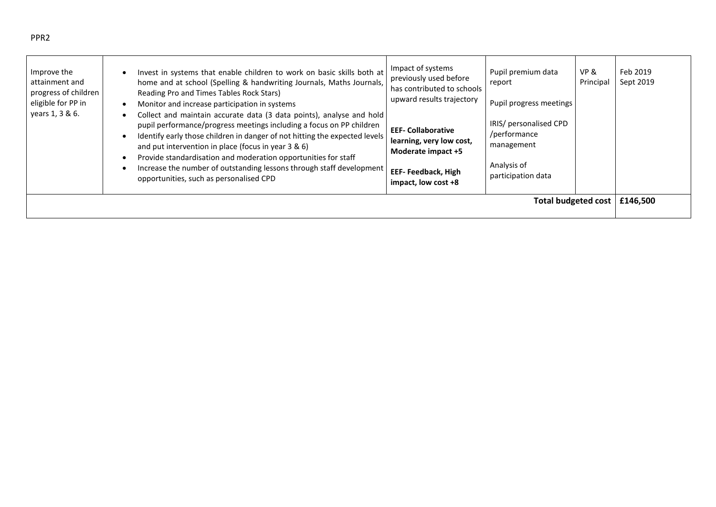| PPR <sub>2</sub> |                     |
|------------------|---------------------|
| Improve the      | Invest in systems t |

| Improve the<br>attainment and<br>progress of children<br>eligible for PP in<br>years 1, 3 & 6. | Invest in systems that enable children to work on basic skills both at<br>home and at school (Spelling & handwriting Journals, Maths Journals,<br>Reading Pro and Times Tables Rock Stars)<br>Monitor and increase participation in systems<br>Collect and maintain accurate data (3 data points), analyse and hold<br>pupil performance/progress meetings including a focus on PP children<br>Identify early those children in danger of not hitting the expected levels<br>and put intervention in place (focus in year 3 & 6)<br>Provide standardisation and moderation opportunities for staff<br>Increase the number of outstanding lessons through staff development<br>opportunities, such as personalised CPD | Impact of systems<br>previously used before<br>has contributed to schools<br>upward results trajectory<br><b>EEF- Collaborative</b><br>learning, very low cost,<br>Moderate impact +5<br><b>EEF-Feedback, High</b><br>impact, low cost +8 | Pupil premium data<br>report<br>Pupil progress meetings<br>IRIS/ personalised CPD<br>/performance<br>management<br>Analysis of<br>participation data | VP &<br>Principal          | Feb 2019<br>Sept 2019 |
|------------------------------------------------------------------------------------------------|-----------------------------------------------------------------------------------------------------------------------------------------------------------------------------------------------------------------------------------------------------------------------------------------------------------------------------------------------------------------------------------------------------------------------------------------------------------------------------------------------------------------------------------------------------------------------------------------------------------------------------------------------------------------------------------------------------------------------|-------------------------------------------------------------------------------------------------------------------------------------------------------------------------------------------------------------------------------------------|------------------------------------------------------------------------------------------------------------------------------------------------------|----------------------------|-----------------------|
|                                                                                                |                                                                                                                                                                                                                                                                                                                                                                                                                                                                                                                                                                                                                                                                                                                       |                                                                                                                                                                                                                                           |                                                                                                                                                      | <b>Total budgeted cost</b> | £146,500              |

─⊺

┱

 $\blacksquare$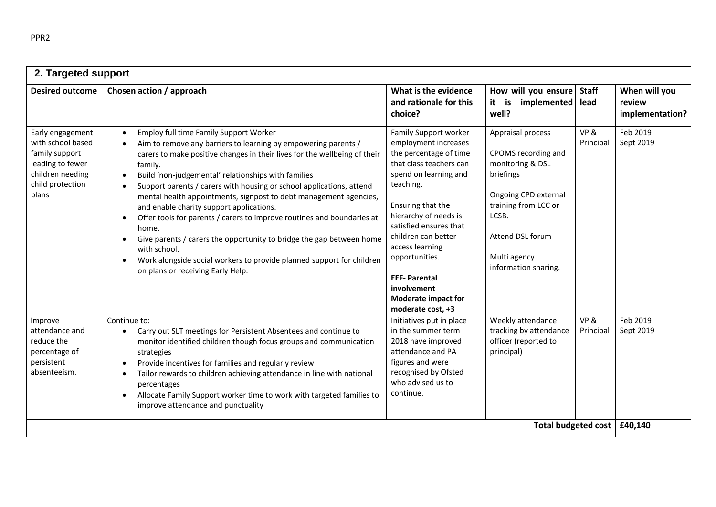| 2. Targeted support                                                                                                          |                                                                                                                                                                                                                                                                                                                                                                                                                                                                                                                                                                                                                                                                                                                                                                                                                         |                                                                                                                                                                                                                                                                                                                                                                       |                                                                                                                                                                                                |                      |                                            |
|------------------------------------------------------------------------------------------------------------------------------|-------------------------------------------------------------------------------------------------------------------------------------------------------------------------------------------------------------------------------------------------------------------------------------------------------------------------------------------------------------------------------------------------------------------------------------------------------------------------------------------------------------------------------------------------------------------------------------------------------------------------------------------------------------------------------------------------------------------------------------------------------------------------------------------------------------------------|-----------------------------------------------------------------------------------------------------------------------------------------------------------------------------------------------------------------------------------------------------------------------------------------------------------------------------------------------------------------------|------------------------------------------------------------------------------------------------------------------------------------------------------------------------------------------------|----------------------|--------------------------------------------|
| <b>Desired outcome</b>                                                                                                       | Chosen action / approach                                                                                                                                                                                                                                                                                                                                                                                                                                                                                                                                                                                                                                                                                                                                                                                                | What is the evidence<br>and rationale for this<br>choice?                                                                                                                                                                                                                                                                                                             | How will you ensure<br>it is<br>implemented<br>well?                                                                                                                                           | <b>Staff</b><br>lead | When will you<br>review<br>implementation? |
| Early engagement<br>with school based<br>family support<br>leading to fewer<br>children needing<br>child protection<br>plans | Employ full time Family Support Worker<br>$\bullet$<br>Aim to remove any barriers to learning by empowering parents /<br>carers to make positive changes in their lives for the wellbeing of their<br>family.<br>Build 'non-judgemental' relationships with families<br>$\bullet$<br>Support parents / carers with housing or school applications, attend<br>$\bullet$<br>mental health appointments, signpost to debt management agencies,<br>and enable charity support applications.<br>Offer tools for parents / carers to improve routines and boundaries at<br>$\bullet$<br>home.<br>Give parents / carers the opportunity to bridge the gap between home<br>$\bullet$<br>with school.<br>Work alongside social workers to provide planned support for children<br>$\bullet$<br>on plans or receiving Early Help. | Family Support worker<br>employment increases<br>the percentage of time<br>that class teachers can<br>spend on learning and<br>teaching.<br>Ensuring that the<br>hierarchy of needs is<br>satisfied ensures that<br>children can better<br>access learning<br>opportunities.<br><b>EEF-Parental</b><br>involvement<br><b>Moderate impact for</b><br>moderate cost, +3 | Appraisal process<br>CPOMS recording and<br>monitoring & DSL<br>briefings<br>Ongoing CPD external<br>training from LCC or<br>LCSB.<br>Attend DSL forum<br>Multi agency<br>information sharing. | VP&<br>Principal     | Feb 2019<br>Sept 2019                      |
| Improve<br>attendance and<br>reduce the<br>percentage of<br>persistent<br>absenteeism.                                       | Continue to:<br>Carry out SLT meetings for Persistent Absentees and continue to<br>$\bullet$<br>monitor identified children though focus groups and communication<br>strategies<br>Provide incentives for families and regularly review<br>$\bullet$<br>Tailor rewards to children achieving attendance in line with national<br>$\bullet$<br>percentages<br>Allocate Family Support worker time to work with targeted families to<br>$\bullet$<br>improve attendance and punctuality                                                                                                                                                                                                                                                                                                                                   | Initiatives put in place<br>in the summer term<br>2018 have improved<br>attendance and PA<br>figures and were<br>recognised by Ofsted<br>who advised us to<br>continue.                                                                                                                                                                                               | Weekly attendance<br>tracking by attendance<br>officer (reported to<br>principal)                                                                                                              | VP&<br>Principal     | Feb 2019<br>Sept 2019                      |
|                                                                                                                              |                                                                                                                                                                                                                                                                                                                                                                                                                                                                                                                                                                                                                                                                                                                                                                                                                         |                                                                                                                                                                                                                                                                                                                                                                       | <b>Total budgeted cost</b>                                                                                                                                                                     |                      | £40,140                                    |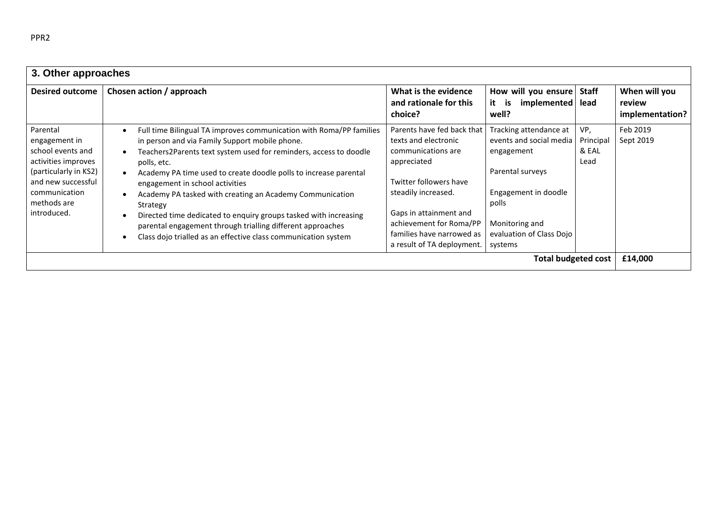| 3. Other approaches                                                                                                                                                 |                                                                                                                                                                                                                                                                                                                                                                                                                                                                                                                                                                                              |                                                                                                                                                                                                                                                          |                                                                                                                                                                               |                                   |                                            |
|---------------------------------------------------------------------------------------------------------------------------------------------------------------------|----------------------------------------------------------------------------------------------------------------------------------------------------------------------------------------------------------------------------------------------------------------------------------------------------------------------------------------------------------------------------------------------------------------------------------------------------------------------------------------------------------------------------------------------------------------------------------------------|----------------------------------------------------------------------------------------------------------------------------------------------------------------------------------------------------------------------------------------------------------|-------------------------------------------------------------------------------------------------------------------------------------------------------------------------------|-----------------------------------|--------------------------------------------|
| <b>Desired outcome</b>                                                                                                                                              | Chosen action / approach                                                                                                                                                                                                                                                                                                                                                                                                                                                                                                                                                                     | What is the evidence<br>and rationale for this<br>choice?                                                                                                                                                                                                | How will you ensure<br>implemented<br>it<br>is<br>well?                                                                                                                       | <b>Staff</b><br>lead              | When will you<br>review<br>implementation? |
| Parental<br>engagement in<br>school events and<br>activities improves<br>(particularly in KS2)<br>and new successful<br>communication<br>methods are<br>introduced. | Full time Bilingual TA improves communication with Roma/PP families<br>in person and via Family Support mobile phone.<br>Teachers2Parents text system used for reminders, access to doodle<br>polls, etc.<br>Academy PA time used to create doodle polls to increase parental<br>engagement in school activities<br>Academy PA tasked with creating an Academy Communication<br>Strategy<br>Directed time dedicated to enquiry groups tasked with increasing<br>parental engagement through trialling different approaches<br>Class dojo trialled as an effective class communication system | Parents have fed back that<br>texts and electronic<br>communications are<br>appreciated<br>Twitter followers have<br>steadily increased.<br>Gaps in attainment and<br>achievement for Roma/PP<br>families have narrowed as<br>a result of TA deployment. | Tracking attendance at<br>events and social media<br>engagement<br>Parental surveys<br>Engagement in doodle<br>polls<br>Monitoring and<br>evaluation of Class Dojo<br>systems | VP,<br>Principal<br>& EAL<br>Lead | Feb 2019<br>Sept 2019                      |
| <b>Total budgeted cost</b><br>£14,000                                                                                                                               |                                                                                                                                                                                                                                                                                                                                                                                                                                                                                                                                                                                              |                                                                                                                                                                                                                                                          |                                                                                                                                                                               |                                   |                                            |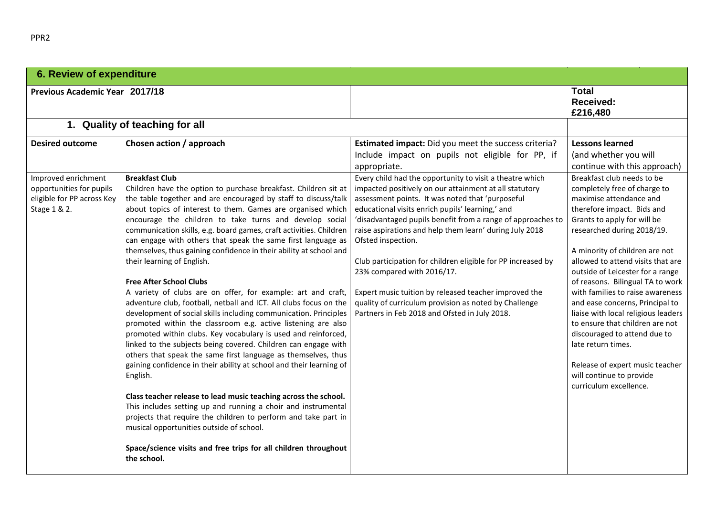| <b>6. Review of expenditure</b>                                                               |                                                                                                                                                                                                                                                                                                                                                                                                                                                                                                                                                                                                                                                                                                                                                                                                                                                                                                                                                                                                                                                                                                                                                                                                                                                                                                                                                                                                                                                                      |                                                                                                                                                                                                                                                                                                                                                                                                                                                                                                                                                                                                                                             |                                                                                                                                                                                                                                                                                                                                                                                                                                                                                                                                                                                                                                 |
|-----------------------------------------------------------------------------------------------|----------------------------------------------------------------------------------------------------------------------------------------------------------------------------------------------------------------------------------------------------------------------------------------------------------------------------------------------------------------------------------------------------------------------------------------------------------------------------------------------------------------------------------------------------------------------------------------------------------------------------------------------------------------------------------------------------------------------------------------------------------------------------------------------------------------------------------------------------------------------------------------------------------------------------------------------------------------------------------------------------------------------------------------------------------------------------------------------------------------------------------------------------------------------------------------------------------------------------------------------------------------------------------------------------------------------------------------------------------------------------------------------------------------------------------------------------------------------|---------------------------------------------------------------------------------------------------------------------------------------------------------------------------------------------------------------------------------------------------------------------------------------------------------------------------------------------------------------------------------------------------------------------------------------------------------------------------------------------------------------------------------------------------------------------------------------------------------------------------------------------|---------------------------------------------------------------------------------------------------------------------------------------------------------------------------------------------------------------------------------------------------------------------------------------------------------------------------------------------------------------------------------------------------------------------------------------------------------------------------------------------------------------------------------------------------------------------------------------------------------------------------------|
| <b>Previous Academic Year 2017/18</b>                                                         |                                                                                                                                                                                                                                                                                                                                                                                                                                                                                                                                                                                                                                                                                                                                                                                                                                                                                                                                                                                                                                                                                                                                                                                                                                                                                                                                                                                                                                                                      |                                                                                                                                                                                                                                                                                                                                                                                                                                                                                                                                                                                                                                             | <b>Total</b><br><b>Received:</b><br>£216,480                                                                                                                                                                                                                                                                                                                                                                                                                                                                                                                                                                                    |
|                                                                                               | 1. Quality of teaching for all                                                                                                                                                                                                                                                                                                                                                                                                                                                                                                                                                                                                                                                                                                                                                                                                                                                                                                                                                                                                                                                                                                                                                                                                                                                                                                                                                                                                                                       |                                                                                                                                                                                                                                                                                                                                                                                                                                                                                                                                                                                                                                             |                                                                                                                                                                                                                                                                                                                                                                                                                                                                                                                                                                                                                                 |
| <b>Desired outcome</b>                                                                        | Chosen action / approach                                                                                                                                                                                                                                                                                                                                                                                                                                                                                                                                                                                                                                                                                                                                                                                                                                                                                                                                                                                                                                                                                                                                                                                                                                                                                                                                                                                                                                             | Estimated impact: Did you meet the success criteria?<br>Include impact on pupils not eligible for PP, if<br>appropriate.                                                                                                                                                                                                                                                                                                                                                                                                                                                                                                                    | <b>Lessons learned</b><br>(and whether you will<br>continue with this approach)                                                                                                                                                                                                                                                                                                                                                                                                                                                                                                                                                 |
| Improved enrichment<br>opportunities for pupils<br>eligible for PP across Key<br>Stage 1 & 2. | <b>Breakfast Club</b><br>Children have the option to purchase breakfast. Children sit at<br>the table together and are encouraged by staff to discuss/talk<br>about topics of interest to them. Games are organised which<br>encourage the children to take turns and develop social<br>communication skills, e.g. board games, craft activities. Children<br>can engage with others that speak the same first language as<br>themselves, thus gaining confidence in their ability at school and<br>their learning of English.<br><b>Free After School Clubs</b><br>A variety of clubs are on offer, for example: art and craft,<br>adventure club, football, netball and ICT. All clubs focus on the<br>development of social skills including communication. Principles<br>promoted within the classroom e.g. active listening are also<br>promoted within clubs. Key vocabulary is used and reinforced,<br>linked to the subjects being covered. Children can engage with<br>others that speak the same first language as themselves, thus<br>gaining confidence in their ability at school and their learning of<br>English.<br>Class teacher release to lead music teaching across the school.<br>This includes setting up and running a choir and instrumental<br>projects that require the children to perform and take part in<br>musical opportunities outside of school.<br>Space/science visits and free trips for all children throughout<br>the school. | Every child had the opportunity to visit a theatre which<br>impacted positively on our attainment at all statutory<br>assessment points. It was noted that 'purposeful<br>educational visits enrich pupils' learning,' and<br>'disadvantaged pupils benefit from a range of approaches to<br>raise aspirations and help them learn' during July 2018<br>Ofsted inspection.<br>Club participation for children eligible for PP increased by<br>23% compared with 2016/17.<br>Expert music tuition by released teacher improved the<br>quality of curriculum provision as noted by Challenge<br>Partners in Feb 2018 and Ofsted in July 2018. | Breakfast club needs to be<br>completely free of charge to<br>maximise attendance and<br>therefore impact. Bids and<br>Grants to apply for will be<br>researched during 2018/19.<br>A minority of children are not<br>allowed to attend visits that are<br>outside of Leicester for a range<br>of reasons. Bilingual TA to work<br>with families to raise awareness<br>and ease concerns, Principal to<br>liaise with local religious leaders<br>to ensure that children are not<br>discouraged to attend due to<br>late return times.<br>Release of expert music teacher<br>will continue to provide<br>curriculum excellence. |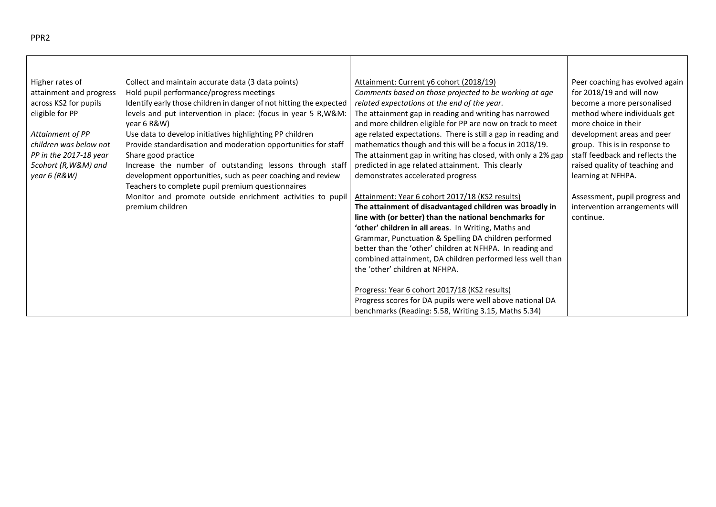| Higher rates of<br>attainment and progress<br>across KS2 for pupils<br>eligible for PP<br>Attainment of PP<br>children was below not<br>PP in the 2017-18 year<br>5cohort (R, W&M) and<br>year 6 (R&W) | Collect and maintain accurate data (3 data points)<br>Hold pupil performance/progress meetings<br>Identify early those children in danger of not hitting the expected<br>levels and put intervention in place: (focus in year 5 R, W&M:<br>year 6 R&W)<br>Use data to develop initiatives highlighting PP children<br>Provide standardisation and moderation opportunities for staff<br>Share good practice<br>Increase the number of outstanding lessons through staff<br>development opportunities, such as peer coaching and review | Attainment: Current y6 cohort (2018/19)<br>Comments based on those projected to be working at age<br>related expectations at the end of the year.<br>The attainment gap in reading and writing has narrowed<br>and more children eligible for PP are now on track to meet<br>age related expectations. There is still a gap in reading and<br>mathematics though and this will be a focus in 2018/19.<br>The attainment gap in writing has closed, with only a 2% gap<br>predicted in age related attainment. This clearly<br>demonstrates accelerated progress | Peer coaching has evolved again<br>for 2018/19 and will now<br>become a more personalised<br>method where individuals get<br>more choice in their<br>development areas and peer<br>group. This is in response to<br>staff feedback and reflects the<br>raised quality of teaching and<br>learning at NFHPA. |
|--------------------------------------------------------------------------------------------------------------------------------------------------------------------------------------------------------|----------------------------------------------------------------------------------------------------------------------------------------------------------------------------------------------------------------------------------------------------------------------------------------------------------------------------------------------------------------------------------------------------------------------------------------------------------------------------------------------------------------------------------------|-----------------------------------------------------------------------------------------------------------------------------------------------------------------------------------------------------------------------------------------------------------------------------------------------------------------------------------------------------------------------------------------------------------------------------------------------------------------------------------------------------------------------------------------------------------------|-------------------------------------------------------------------------------------------------------------------------------------------------------------------------------------------------------------------------------------------------------------------------------------------------------------|
|                                                                                                                                                                                                        | Teachers to complete pupil premium questionnaires                                                                                                                                                                                                                                                                                                                                                                                                                                                                                      |                                                                                                                                                                                                                                                                                                                                                                                                                                                                                                                                                                 |                                                                                                                                                                                                                                                                                                             |
|                                                                                                                                                                                                        | Monitor and promote outside enrichment activities to pupil                                                                                                                                                                                                                                                                                                                                                                                                                                                                             | Attainment: Year 6 cohort 2017/18 (KS2 results)                                                                                                                                                                                                                                                                                                                                                                                                                                                                                                                 | Assessment, pupil progress and                                                                                                                                                                                                                                                                              |
|                                                                                                                                                                                                        | premium children                                                                                                                                                                                                                                                                                                                                                                                                                                                                                                                       | The attainment of disadvantaged children was broadly in                                                                                                                                                                                                                                                                                                                                                                                                                                                                                                         | intervention arrangements will                                                                                                                                                                                                                                                                              |
|                                                                                                                                                                                                        |                                                                                                                                                                                                                                                                                                                                                                                                                                                                                                                                        | line with (or better) than the national benchmarks for<br>'other' children in all areas. In Writing, Maths and                                                                                                                                                                                                                                                                                                                                                                                                                                                  | continue.                                                                                                                                                                                                                                                                                                   |
|                                                                                                                                                                                                        |                                                                                                                                                                                                                                                                                                                                                                                                                                                                                                                                        | Grammar, Punctuation & Spelling DA children performed                                                                                                                                                                                                                                                                                                                                                                                                                                                                                                           |                                                                                                                                                                                                                                                                                                             |
|                                                                                                                                                                                                        |                                                                                                                                                                                                                                                                                                                                                                                                                                                                                                                                        | better than the 'other' children at NFHPA. In reading and                                                                                                                                                                                                                                                                                                                                                                                                                                                                                                       |                                                                                                                                                                                                                                                                                                             |
|                                                                                                                                                                                                        |                                                                                                                                                                                                                                                                                                                                                                                                                                                                                                                                        | combined attainment, DA children performed less well than                                                                                                                                                                                                                                                                                                                                                                                                                                                                                                       |                                                                                                                                                                                                                                                                                                             |
|                                                                                                                                                                                                        |                                                                                                                                                                                                                                                                                                                                                                                                                                                                                                                                        | the 'other' children at NFHPA.                                                                                                                                                                                                                                                                                                                                                                                                                                                                                                                                  |                                                                                                                                                                                                                                                                                                             |
|                                                                                                                                                                                                        |                                                                                                                                                                                                                                                                                                                                                                                                                                                                                                                                        |                                                                                                                                                                                                                                                                                                                                                                                                                                                                                                                                                                 |                                                                                                                                                                                                                                                                                                             |
|                                                                                                                                                                                                        |                                                                                                                                                                                                                                                                                                                                                                                                                                                                                                                                        | Progress: Year 6 cohort 2017/18 (KS2 results)                                                                                                                                                                                                                                                                                                                                                                                                                                                                                                                   |                                                                                                                                                                                                                                                                                                             |
|                                                                                                                                                                                                        |                                                                                                                                                                                                                                                                                                                                                                                                                                                                                                                                        | Progress scores for DA pupils were well above national DA                                                                                                                                                                                                                                                                                                                                                                                                                                                                                                       |                                                                                                                                                                                                                                                                                                             |
|                                                                                                                                                                                                        |                                                                                                                                                                                                                                                                                                                                                                                                                                                                                                                                        | benchmarks (Reading: 5.58, Writing 3.15, Maths 5.34)                                                                                                                                                                                                                                                                                                                                                                                                                                                                                                            |                                                                                                                                                                                                                                                                                                             |

 $\top$ 

PPR2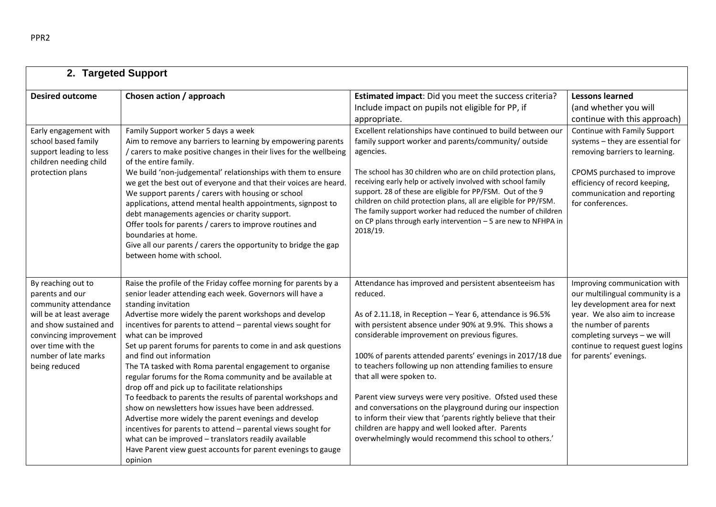| 2. Targeted Support                                                                                                                                                                                          |                                                                                                                                                                                                                                                                                                                                                                                                                                                                                                                                                                                                                                                                                                                                                                                                                                                                                                                                                                  |                                                                                                                                                                                                                                                                                                                                                                                                                                                                                                                                                                                                                                                                                                             |                                                                                                                                                                                                                                                          |  |
|--------------------------------------------------------------------------------------------------------------------------------------------------------------------------------------------------------------|------------------------------------------------------------------------------------------------------------------------------------------------------------------------------------------------------------------------------------------------------------------------------------------------------------------------------------------------------------------------------------------------------------------------------------------------------------------------------------------------------------------------------------------------------------------------------------------------------------------------------------------------------------------------------------------------------------------------------------------------------------------------------------------------------------------------------------------------------------------------------------------------------------------------------------------------------------------|-------------------------------------------------------------------------------------------------------------------------------------------------------------------------------------------------------------------------------------------------------------------------------------------------------------------------------------------------------------------------------------------------------------------------------------------------------------------------------------------------------------------------------------------------------------------------------------------------------------------------------------------------------------------------------------------------------------|----------------------------------------------------------------------------------------------------------------------------------------------------------------------------------------------------------------------------------------------------------|--|
| <b>Desired outcome</b>                                                                                                                                                                                       | Chosen action / approach                                                                                                                                                                                                                                                                                                                                                                                                                                                                                                                                                                                                                                                                                                                                                                                                                                                                                                                                         | Estimated impact: Did you meet the success criteria?<br>Include impact on pupils not eligible for PP, if<br>appropriate.                                                                                                                                                                                                                                                                                                                                                                                                                                                                                                                                                                                    | <b>Lessons learned</b><br>(and whether you will<br>continue with this approach)                                                                                                                                                                          |  |
| Early engagement with<br>school based family<br>support leading to less<br>children needing child<br>protection plans                                                                                        | Family Support worker 5 days a week<br>Aim to remove any barriers to learning by empowering parents<br>/ carers to make positive changes in their lives for the wellbeing<br>of the entire family.<br>We build 'non-judgemental' relationships with them to ensure<br>we get the best out of everyone and that their voices are heard.<br>We support parents / carers with housing or school<br>applications, attend mental health appointments, signpost to<br>debt managements agencies or charity support.<br>Offer tools for parents / carers to improve routines and<br>boundaries at home.<br>Give all our parents / carers the opportunity to bridge the gap<br>between home with school.                                                                                                                                                                                                                                                                 | Excellent relationships have continued to build between our<br>family support worker and parents/community/ outside<br>agencies.<br>The school has 30 children who are on child protection plans,<br>receiving early help or actively involved with school family<br>support. 28 of these are eligible for PP/FSM. Out of the 9<br>children on child protection plans, all are eligible for PP/FSM.<br>The family support worker had reduced the number of children<br>on CP plans through early intervention - 5 are new to NFHPA in<br>2018/19.                                                                                                                                                           | Continue with Family Support<br>systems - they are essential for<br>removing barriers to learning.<br>CPOMS purchased to improve<br>efficiency of record keeping,<br>communication and reporting<br>for conferences.                                     |  |
| By reaching out to<br>parents and our<br>community attendance<br>will be at least average<br>and show sustained and<br>convincing improvement<br>over time with the<br>number of late marks<br>being reduced | Raise the profile of the Friday coffee morning for parents by a<br>senior leader attending each week. Governors will have a<br>standing invitation<br>Advertise more widely the parent workshops and develop<br>incentives for parents to attend - parental views sought for<br>what can be improved<br>Set up parent forums for parents to come in and ask questions<br>and find out information<br>The TA tasked with Roma parental engagement to organise<br>regular forums for the Roma community and be available at<br>drop off and pick up to facilitate relationships<br>To feedback to parents the results of parental workshops and<br>show on newsletters how issues have been addressed.<br>Advertise more widely the parent evenings and develop<br>incentives for parents to attend - parental views sought for<br>what can be improved - translators readily available<br>Have Parent view guest accounts for parent evenings to gauge<br>opinion | Attendance has improved and persistent absenteeism has<br>reduced.<br>As of 2.11.18, in Reception - Year 6, attendance is 96.5%<br>with persistent absence under 90% at 9.9%. This shows a<br>considerable improvement on previous figures.<br>100% of parents attended parents' evenings in 2017/18 due<br>to teachers following up non attending families to ensure<br>that all were spoken to.<br>Parent view surveys were very positive. Ofsted used these<br>and conversations on the playground during our inspection<br>to inform their view that 'parents rightly believe that their<br>children are happy and well looked after. Parents<br>overwhelmingly would recommend this school to others.' | Improving communication with<br>our multilingual community is a<br>ley development area for next<br>year. We also aim to increase<br>the number of parents<br>completing surveys - we will<br>continue to request guest logins<br>for parents' evenings. |  |